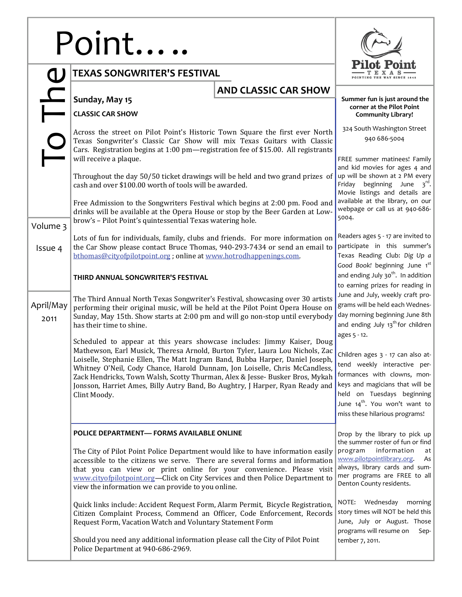## Doint…

|                   | Point                                                                                                                                                                                                                                                                                                                                                                                                                                                                                                    |                                                                                                                                                                                                                                                                                                                                                                                                                                                                                                                                                                                                                                                  |                                                                                         |  |
|-------------------|----------------------------------------------------------------------------------------------------------------------------------------------------------------------------------------------------------------------------------------------------------------------------------------------------------------------------------------------------------------------------------------------------------------------------------------------------------------------------------------------------------|--------------------------------------------------------------------------------------------------------------------------------------------------------------------------------------------------------------------------------------------------------------------------------------------------------------------------------------------------------------------------------------------------------------------------------------------------------------------------------------------------------------------------------------------------------------------------------------------------------------------------------------------------|-----------------------------------------------------------------------------------------|--|
|                   | <b>TEXAS SONGWRITER'S FESTIVAL</b>                                                                                                                                                                                                                                                                                                                                                                                                                                                                       |                                                                                                                                                                                                                                                                                                                                                                                                                                                                                                                                                                                                                                                  |                                                                                         |  |
|                   | Sunday, May 15<br><b>CLASSIC CAR SHOW</b>                                                                                                                                                                                                                                                                                                                                                                                                                                                                | <b>AND CLASSIC CAR SHOW</b>                                                                                                                                                                                                                                                                                                                                                                                                                                                                                                                                                                                                                      | Summer fun is just around the<br>corner at the Pilot Point<br><b>Community Library!</b> |  |
|                   | Across the street on Pilot Point's Historic Town Square the first ever North<br>Texas Songwriter's Classic Car Show will mix Texas Guitars with Classic<br>Cars. Registration begins at 1:00 pm-registration fee of \$15.00. All registrants<br>will receive a plaque.                                                                                                                                                                                                                                   | 324 South Washington Street<br>940 686-5004<br>FREE summer matinees! Family<br>and kid movies for ages 4 and<br>up will be shown at 2 PM every<br>Friday beginning June $3^{rd}$ .<br>Movie listings and details are                                                                                                                                                                                                                                                                                                                                                                                                                             |                                                                                         |  |
|                   | Throughout the day 50/50 ticket drawings will be held and two grand prizes of<br>cash and over \$100.00 worth of tools will be awarded.                                                                                                                                                                                                                                                                                                                                                                  |                                                                                                                                                                                                                                                                                                                                                                                                                                                                                                                                                                                                                                                  |                                                                                         |  |
| Volume 3          | Free Admission to the Songwriters Festival which begins at 2:00 pm. Food and<br>drinks will be available at the Opera House or stop by the Beer Garden at Low-<br>brow's - Pilot Point's quintessential Texas watering hole.                                                                                                                                                                                                                                                                             | available at the library, on our<br>webpage or call us at 940-686-<br>5004.                                                                                                                                                                                                                                                                                                                                                                                                                                                                                                                                                                      |                                                                                         |  |
| Issue 4           | Lots of fun for individuals, family, clubs and friends. For more information on<br>the Car Show please contact Bruce Thomas, 940-293-7434 or send an email to<br>bthomas@cityofpilotpoint.org; online at www.hotrodhappenings.com.                                                                                                                                                                                                                                                                       | Readers ages 5 - 17 are invited to<br>participate in this summer's<br>Texas Reading Club: Dig Up a<br>Good Book! beginning June 1st<br>and ending July 30 <sup>th</sup> . In addition<br>to earning prizes for reading in<br>June and July, weekly craft pro-<br>grams will be held each Wednes-<br>day morning beginning June 8th<br>and ending July 13 <sup>th</sup> for children<br>ages 5 - 12.<br>Children ages 3 - 17 can also at-<br>tend weekly interactive per-<br>formances with clowns, mon-<br>keys and magicians that will be<br>held on Tuesdays beginning<br>June $14^{th}$ . You won't want to<br>miss these hilarious programs! |                                                                                         |  |
|                   | THIRD ANNUAL SONGWRITER'S FESTIVAL                                                                                                                                                                                                                                                                                                                                                                                                                                                                       |                                                                                                                                                                                                                                                                                                                                                                                                                                                                                                                                                                                                                                                  |                                                                                         |  |
| April/May<br>2011 | The Third Annual North Texas Songwriter's Festival, showcasing over 30 artists<br>performing their original music, will be held at the Pilot Point Opera House on<br>Sunday, May 15th. Show starts at 2:00 pm and will go non-stop until everybody<br>has their time to shine.                                                                                                                                                                                                                           |                                                                                                                                                                                                                                                                                                                                                                                                                                                                                                                                                                                                                                                  |                                                                                         |  |
|                   | Scheduled to appear at this years showcase includes: Jimmy Kaiser, Doug<br>Mathewson, Earl Musick, Theresa Arnold, Burton Tyler, Laura Lou Nichols, Zac<br>Loiselle, Stephanie Ellen, The Matt Ingram Band, Bubba Harper, Daniel Joseph,<br>Whitney O'Neil, Cody Chance, Harold Dunnam, Jon Loiselle, Chris McCandless,<br>Zack Hendricks, Town Walsh, Scotty Thurman, Alex & Jesse- Busker Bros, Mykah<br>Jonsson, Harriet Ames, Billy Autry Band, Bo Aughtry, J Harper, Ryan Ready and<br>Clint Moody. |                                                                                                                                                                                                                                                                                                                                                                                                                                                                                                                                                                                                                                                  |                                                                                         |  |
|                   | POLICE DEPARTMENT- FORMS AVAILABLE ONLINE                                                                                                                                                                                                                                                                                                                                                                                                                                                                | Drop by the library to pick up<br>the summer roster of fun or find<br>information<br>program<br>at<br>www.pilotpointlibrary.org.<br>As<br>always, library cards and sum-<br>mer programs are FREE to all<br>Denton County residents.                                                                                                                                                                                                                                                                                                                                                                                                             |                                                                                         |  |
|                   | The City of Pilot Point Police Department would like to have information easily<br>accessible to the citizens we serve. There are several forms and information<br>that you can view or print online for your convenience. Please visit<br>www.cityofpilotpoint.org-Click on City Services and then Police Department to<br>view the information we can provide to you online.                                                                                                                           |                                                                                                                                                                                                                                                                                                                                                                                                                                                                                                                                                                                                                                                  |                                                                                         |  |
|                   | Quick links include: Accident Request Form, Alarm Permit, Bicycle Registration,<br>Citizen Complaint Process, Commend an Officer, Code Enforcement, Records<br>Request Form, Vacation Watch and Voluntary Statement Form                                                                                                                                                                                                                                                                                 | Wednesday<br>NOTE:<br>morning<br>story times will NOT be held this<br>June, July or August. Those<br>programs will resume on<br>Sep-<br>tember 7, 2011.                                                                                                                                                                                                                                                                                                                                                                                                                                                                                          |                                                                                         |  |
|                   | Should you need any additional information please call the City of Pilot Point<br>Police Department at 940-686-2969.                                                                                                                                                                                                                                                                                                                                                                                     |                                                                                                                                                                                                                                                                                                                                                                                                                                                                                                                                                                                                                                                  |                                                                                         |  |